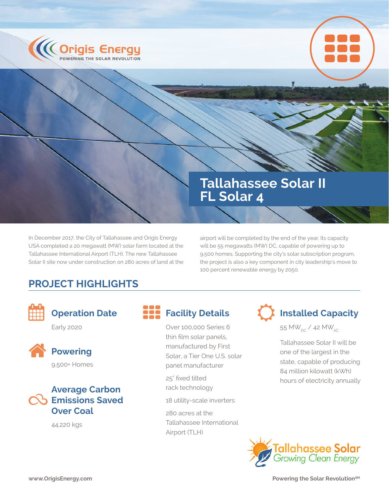



# **Tallahassee Solar II FL Solar 4**

In December 2017, the City of Tallahassee and Origis Energy USA completed a 20 megawatt (MW) solar farm located at the Tallahassee International Airport (TLH). The new Tallahassee Solar II site now under construction on 280 acres of land at the airport will be completed by the end of the year. Its capacity will be 55 megawatts (MW) DC, capable of powering up to 9,500 homes. Supporting the city's solar subscription program, the project is also a key component in city leadership's move to 100 percent renewable energy by 2050.

## **PROJECT HIGHLIGHTS**



## **Operation Date**

Early 2020



## **Powering** 9,500+ Homes



44,220 kgs

Over 100,000 Series 6 thin film solar panels, manufactured by First Solar, a Tier One U.S. solar panel manufacturer

25° fixed tilted rack technology

18 utility-scale inverters

280 acres at the Tallahassee International Airport (TLH)

**Facility Details I** Installed Capacity

55 MW $_{\text{DC}}$  / 42 MW $_{\text{AC}}$ 

Tallahassee Solar II will be one of the largest in the state, capable of producing 84 million kilowatt (kWh) hours of electricity annually



**WWW.OrigisEnergy.com Powering the Solar Revolution<sup>SM</sup>**